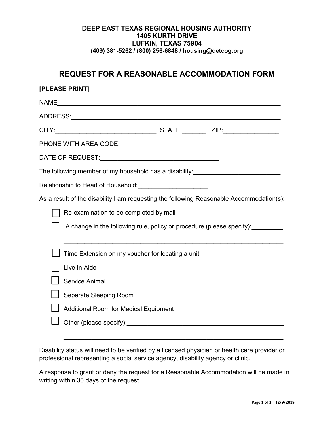## **DEEP EAST TEXAS REGIONAL HOUSING AUTHORITY 1405 KURTH DRIVE LUFKIN, TEXAS 75904 (409) 381-5262 / (800) 256-6848 / housing@detcog.org**

## **REQUEST FOR A REASONABLE ACCOMMODATION FORM**

| [PLEASE PRINT]                         |                                                                                          |  |  |  |  |
|----------------------------------------|------------------------------------------------------------------------------------------|--|--|--|--|
|                                        |                                                                                          |  |  |  |  |
|                                        |                                                                                          |  |  |  |  |
|                                        |                                                                                          |  |  |  |  |
|                                        |                                                                                          |  |  |  |  |
|                                        |                                                                                          |  |  |  |  |
|                                        | The following member of my household has a disability:__________________________         |  |  |  |  |
|                                        | Relationship to Head of Household: _______________________                               |  |  |  |  |
|                                        | As a result of the disability I am requesting the following Reasonable Accommodation(s): |  |  |  |  |
| Re-examination to be completed by mail |                                                                                          |  |  |  |  |
|                                        | A change in the following rule, policy or procedure (please specify):                    |  |  |  |  |
|                                        | Time Extension on my voucher for locating a unit                                         |  |  |  |  |
|                                        | Live In Aide                                                                             |  |  |  |  |
|                                        | <b>Service Animal</b>                                                                    |  |  |  |  |
|                                        | Separate Sleeping Room                                                                   |  |  |  |  |
|                                        | <b>Additional Room for Medical Equipment</b>                                             |  |  |  |  |
|                                        |                                                                                          |  |  |  |  |
|                                        |                                                                                          |  |  |  |  |

Disability status will need to be verified by a licensed physician or health care provider or professional representing a social service agency, disability agency or clinic.

A response to grant or deny the request for a Reasonable Accommodation will be made in writing within 30 days of the request.